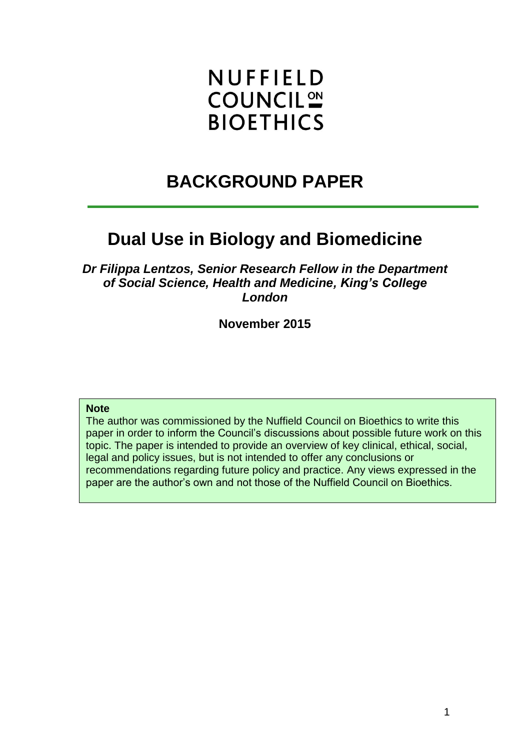# **NUFFIELD COUNCIL<sup>ON</sup> BIOETHICS**

# **BACKGROUND PAPER**

# **Dual Use in Biology and Biomedicine**

*Dr Filippa Lentzos, Senior Research Fellow in the Department of Social Science, Health and Medicine, King's College London*

**November 2015**

#### **Note**

The author was commissioned by the Nuffield Council on Bioethics to write this paper in order to inform the Council's discussions about possible future work on this topic. The paper is intended to provide an overview of key clinical, ethical, social, legal and policy issues, but is not intended to offer any conclusions or recommendations regarding future policy and practice. Any views expressed in the paper are the author's own and not those of the Nuffield Council on Bioethics.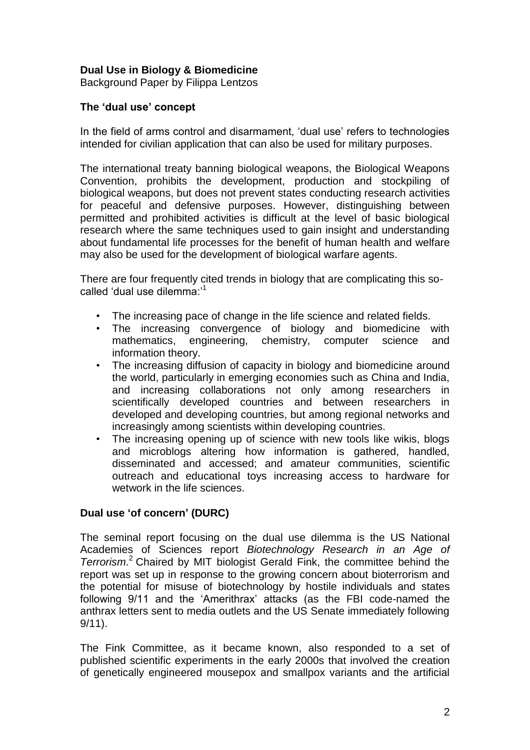# **Dual Use in Biology & Biomedicine**

Background Paper by Filippa Lentzos

# **The 'dual use' concept**

In the field of arms control and disarmament, 'dual use' refers to technologies intended for civilian application that can also be used for military purposes.

The international treaty banning biological weapons, the Biological Weapons Convention, prohibits the development, production and stockpiling of biological weapons, but does not prevent states conducting research activities for peaceful and defensive purposes. However, distinguishing between permitted and prohibited activities is difficult at the level of basic biological research where the same techniques used to gain insight and understanding about fundamental life processes for the benefit of human health and welfare may also be used for the development of biological warfare agents.

There are four frequently cited trends in biology that are complicating this socalled 'dual use dilemma:'<sup>1</sup>

- The increasing pace of change in the life science and related fields.
- The increasing convergence of biology and biomedicine with mathematics, engineering, chemistry, computer science and information theory.
- The increasing diffusion of capacity in biology and biomedicine around the world, particularly in emerging economies such as China and India, and increasing collaborations not only among researchers in scientifically developed countries and between researchers in developed and developing countries, but among regional networks and increasingly among scientists within developing countries.
- The increasing opening up of science with new tools like wikis, blogs and microblogs altering how information is gathered, handled, disseminated and accessed; and amateur communities, scientific outreach and educational toys increasing access to hardware for wetwork in the life sciences.

# **Dual use 'of concern' (DURC)**

The seminal report focusing on the dual use dilemma is the US National Academies of Sciences report *Biotechnology Research in an Age of Terrorism*. <sup>2</sup> Chaired by MIT biologist Gerald Fink, the committee behind the report was set up in response to the growing concern about bioterrorism and the potential for misuse of biotechnology by hostile individuals and states following 9/11 and the 'Amerithrax' attacks (as the FBI code-named the anthrax letters sent to media outlets and the US Senate immediately following 9/11).

The Fink Committee, as it became known, also responded to a set of published scientific experiments in the early 2000s that involved the creation of genetically engineered mousepox and smallpox variants and the artificial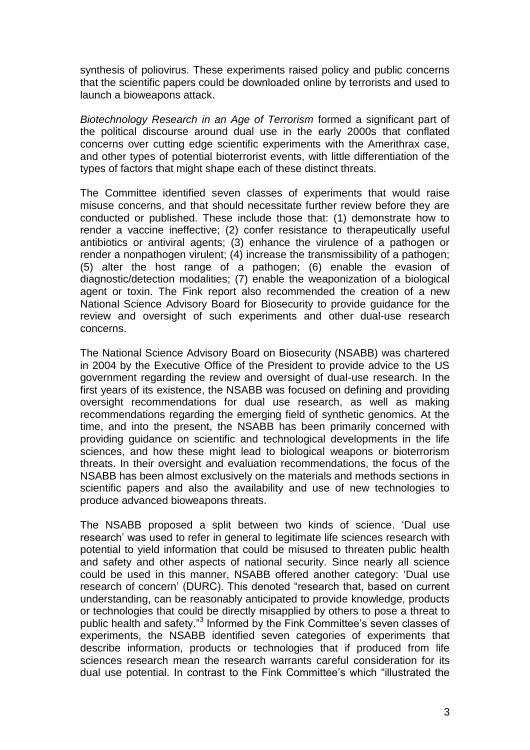synthesis of poliovirus. These experiments raised policy and public concerns that the scientific papers could be downloaded online by terrorists and used to launch a bioweapons attack.

*Biotechnology Research in an Age of Terrorism* formed a significant part of the political discourse around dual use in the early 2000s that conflated concerns over cutting edge scientific experiments with the Amerithrax case, and other types of potential bioterrorist events, with little differentiation of the types of factors that might shape each of these distinct threats.

The Committee identified seven classes of experiments that would raise misuse concerns, and that should necessitate further review before they are conducted or published. These include those that: (1) demonstrate how to render a vaccine ineffective; (2) confer resistance to therapeutically useful antibiotics or antiviral agents; (3) enhance the virulence of a pathogen or render a nonpathogen virulent; (4) increase the transmissibility of a pathogen; (5) alter the host range of a pathogen; (6) enable the evasion of diagnostic/detection modalities; (7) enable the weaponization of a biological agent or toxin. The Fink report also recommended the creation of a new National Science Advisory Board for Biosecurity to provide guidance for the review and oversight of such experiments and other dual-use research concerns.

The National Science Advisory Board on Biosecurity (NSABB) was chartered in 2004 by the Executive Office of the President to provide advice to the US government regarding the review and oversight of dual-use research. In the first years of its existence, the NSABB was focused on defining and providing oversight recommendations for dual use research, as well as making recommendations regarding the emerging field of synthetic genomics. At the time, and into the present, the NSABB has been primarily concerned with providing guidance on scientific and technological developments in the life sciences, and how these might lead to biological weapons or bioterrorism threats. In their oversight and evaluation recommendations, the focus of the NSABB has been almost exclusively on the materials and methods sections in scientific papers and also the availability and use of new technologies to produce advanced bioweapons threats.

The NSABB proposed a split between two kinds of science. 'Dual use research' was used to refer in general to legitimate life sciences research with potential to yield information that could be misused to threaten public health and safety and other aspects of national security. Since nearly all science could be used in this manner, NSABB offered another category: 'Dual use research of concern' (DURC). This denoted "research that, based on current understanding, can be reasonably anticipated to provide knowledge, products or technologies that could be directly misapplied by others to pose a threat to public health and safety."<sup>3</sup> Informed by the Fink Committee's seven classes of experiments, the NSABB identified seven categories of experiments that describe information, products or technologies that if produced from life sciences research mean the research warrants careful consideration for its dual use potential. In contrast to the Fink Committee's which "illustrated the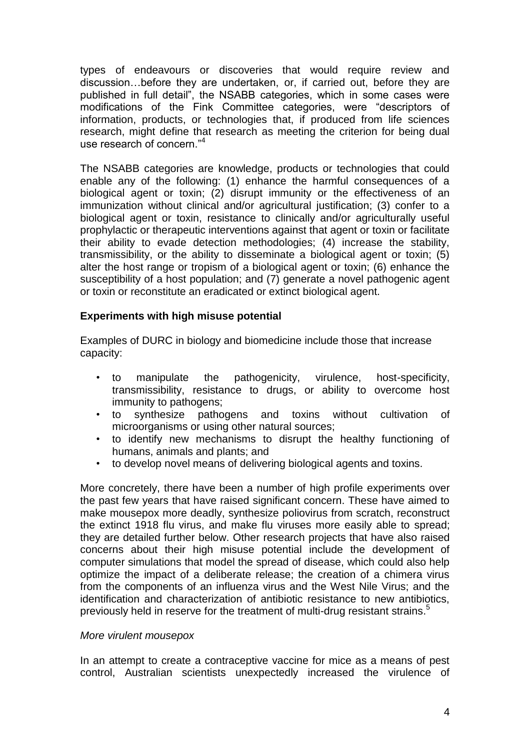types of endeavours or discoveries that would require review and discussion…before they are undertaken, or, if carried out, before they are published in full detail", the NSABB categories, which in some cases were modifications of the Fink Committee categories, were "descriptors of information, products, or technologies that, if produced from life sciences research, might define that research as meeting the criterion for being dual use research of concern."<sup>4</sup>

The NSABB categories are knowledge, products or technologies that could enable any of the following: (1) enhance the harmful consequences of a biological agent or toxin; (2) disrupt immunity or the effectiveness of an immunization without clinical and/or agricultural justification; (3) confer to a biological agent or toxin, resistance to clinically and/or agriculturally useful prophylactic or therapeutic interventions against that agent or toxin or facilitate their ability to evade detection methodologies; (4) increase the stability, transmissibility, or the ability to disseminate a biological agent or toxin; (5) alter the host range or tropism of a biological agent or toxin; (6) enhance the susceptibility of a host population; and (7) generate a novel pathogenic agent or toxin or reconstitute an eradicated or extinct biological agent.

# **Experiments with high misuse potential**

Examples of DURC in biology and biomedicine include those that increase capacity:

- to manipulate the pathogenicity, virulence, host-specificity, transmissibility, resistance to drugs, or ability to overcome host immunity to pathogens;
- to synthesize pathogens and toxins without cultivation of microorganisms or using other natural sources;
- to identify new mechanisms to disrupt the healthy functioning of humans, animals and plants; and
- to develop novel means of delivering biological agents and toxins.

More concretely, there have been a number of high profile experiments over the past few years that have raised significant concern. These have aimed to make mousepox more deadly, synthesize poliovirus from scratch, reconstruct the extinct 1918 flu virus, and make flu viruses more easily able to spread; they are detailed further below. Other research projects that have also raised concerns about their high misuse potential include the development of computer simulations that model the spread of disease, which could also help optimize the impact of a deliberate release; the creation of a chimera virus from the components of an influenza virus and the West Nile Virus; and the identification and characterization of antibiotic resistance to new antibiotics, previously held in reserve for the treatment of multi-drug resistant strains.<sup>5</sup>

# *More virulent mousepox*

In an attempt to create a contraceptive vaccine for mice as a means of pest control, Australian scientists unexpectedly increased the virulence of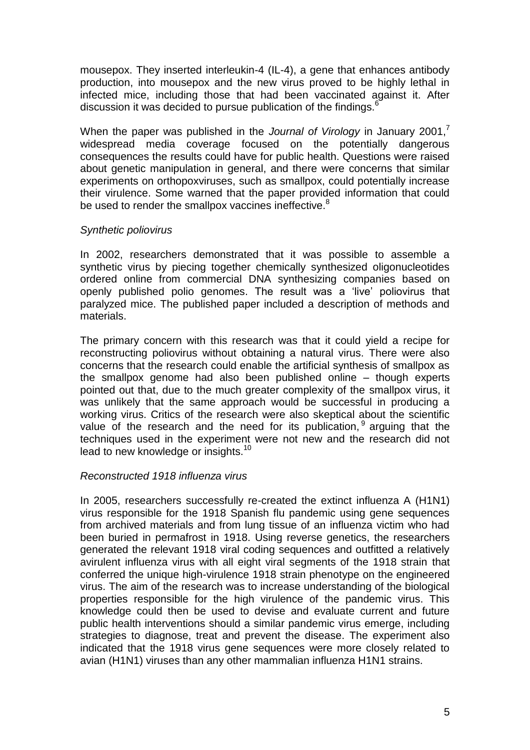mousepox. They inserted interleukin-4 (IL-4), a gene that enhances antibody production, into mousepox and the new virus proved to be highly lethal in infected mice, including those that had been vaccinated against it. After discussion it was decided to pursue publication of the findings.<sup>6</sup>

When the paper was published in the *Journal of Virology* in January 2001,<sup>7</sup> widespread media coverage focused on the potentially dangerous consequences the results could have for public health. Questions were raised about genetic manipulation in general, and there were concerns that similar experiments on orthopoxviruses, such as smallpox, could potentially increase their virulence. Some warned that the paper provided information that could be used to render the smallpox vaccines ineffective.<sup>8</sup>

#### *Synthetic poliovirus*

In 2002, researchers demonstrated that it was possible to assemble a synthetic virus by piecing together chemically synthesized oligonucleotides ordered online from commercial DNA synthesizing companies based on openly published polio genomes. The result was a 'live' poliovirus that paralyzed mice. The published paper included a description of methods and materials.

The primary concern with this research was that it could yield a recipe for reconstructing poliovirus without obtaining a natural virus. There were also concerns that the research could enable the artificial synthesis of smallpox as the smallpox genome had also been published online – though experts pointed out that, due to the much greater complexity of the smallpox virus, it was unlikely that the same approach would be successful in producing a working virus. Critics of the research were also skeptical about the scientific value of the research and the need for its publication, <sup>9</sup> arguing that the techniques used in the experiment were not new and the research did not lead to new knowledge or insights.<sup>10</sup>

#### *Reconstructed 1918 influenza virus*

In 2005, researchers successfully re-created the extinct influenza A (H1N1) virus responsible for the 1918 Spanish flu pandemic using gene sequences from archived materials and from lung tissue of an influenza victim who had been buried in permafrost in 1918. Using reverse genetics, the researchers generated the relevant 1918 viral coding sequences and outfitted a relatively avirulent influenza virus with all eight viral segments of the 1918 strain that conferred the unique high-virulence 1918 strain phenotype on the engineered virus. The aim of the research was to increase understanding of the biological properties responsible for the high virulence of the pandemic virus. This knowledge could then be used to devise and evaluate current and future public health interventions should a similar pandemic virus emerge, including strategies to diagnose, treat and prevent the disease. The experiment also indicated that the 1918 virus gene sequences were more closely related to avian (H1N1) viruses than any other mammalian influenza H1N1 strains.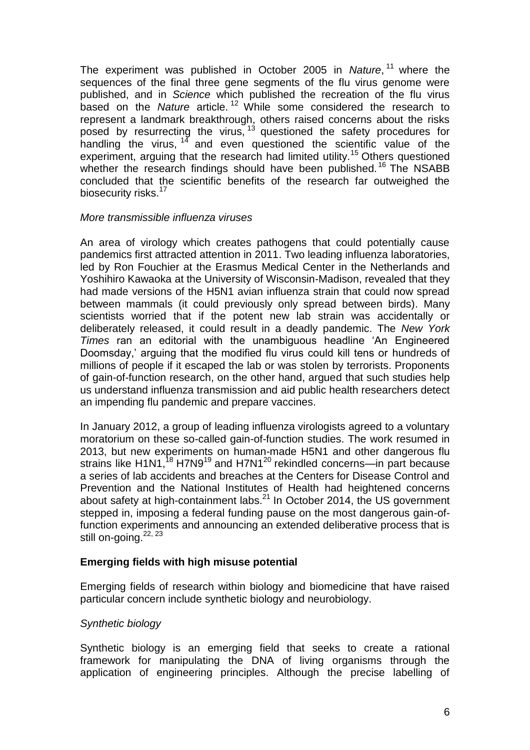The experiment was published in October 2005 in *Nature*, <sup>11</sup> where the sequences of the final three gene segments of the flu virus genome were published, and in *Science* which published the recreation of the flu virus based on the *Nature* article. <sup>12</sup> While some considered the research to represent a landmark breakthrough, others raised concerns about the risks posed by resurrecting the virus, <sup>13</sup> questioned the safety procedures for handling the virus, <sup>14</sup> and even questioned the scientific value of the experiment, arguing that the research had limited utility.<sup>15</sup> Others questioned whether the research findings should have been published.<sup>16</sup> The NSABB concluded that the scientific benefits of the research far outweighed the biosecurity risks.<sup>17</sup>

#### *More transmissible influenza viruses*

An area of virology which creates pathogens that could potentially cause pandemics first attracted attention in 2011. Two leading influenza laboratories, led by Ron Fouchier at the Erasmus Medical Center in the Netherlands and Yoshihiro Kawaoka at the University of Wisconsin-Madison, revealed that they had made versions of the H5N1 avian influenza strain that could now spread between mammals (it could previously only spread between birds). Many scientists worried that if the potent new lab strain was accidentally or deliberately released, it could result in a deadly pandemic. The *New York Times* ran an editorial with the unambiguous headline 'An Engineered Doomsday,' arguing that the modified flu virus could kill tens or hundreds of millions of people if it escaped the lab or was stolen by terrorists. Proponents of gain-of-function research, on the other hand, argued that such studies help us understand influenza transmission and aid public health researchers detect an impending flu pandemic and prepare vaccines.

In January 2012, a group of leading influenza virologists agreed to a voluntary moratorium on these so-called gain-of-function studies. The work resumed in 2013, but new experiments on human-made H5N1 and other dangerous flu strains like H1N1,<sup>18</sup> H7N9<sup>19</sup> and H7N1<sup>20</sup> rekindled concerns—in part because a series of lab accidents and breaches at the Centers for Disease Control and Prevention and the National Institutes of Health had heightened concerns about safety at high-containment labs. $^{21}$  In October 2014, the US government stepped in, imposing a federal funding pause on the most dangerous gain-offunction experiments and announcing an extended deliberative process that is still on-going.<sup>22, 23</sup>

# **Emerging fields with high misuse potential**

Emerging fields of research within biology and biomedicine that have raised particular concern include synthetic biology and neurobiology.

# *Synthetic biology*

Synthetic biology is an emerging field that seeks to create a rational framework for manipulating the DNA of living organisms through the application of engineering principles. Although the precise labelling of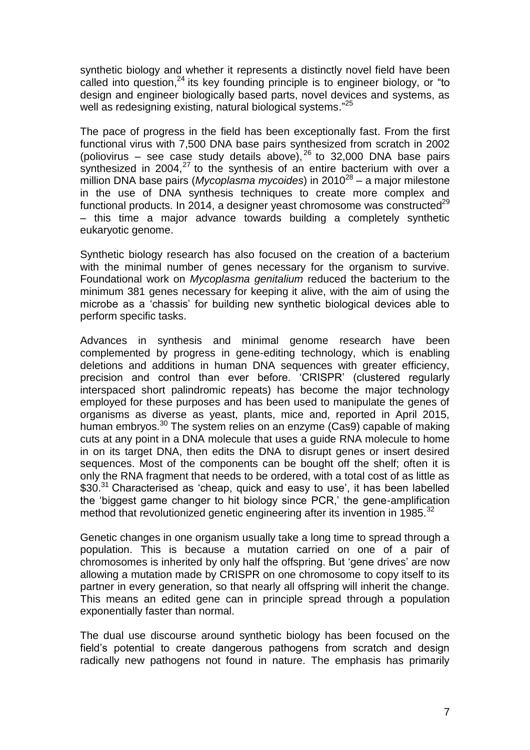synthetic biology and whether it represents a distinctly novel field have been called into question, $24$  its key founding principle is to engineer biology, or "to design and engineer biologically based parts, novel devices and systems, as well as redesigning existing, natural biological systems."<sup>25</sup>

The pace of progress in the field has been exceptionally fast. From the first functional virus with 7,500 DNA base pairs synthesized from scratch in 2002 (poliovirus – see case study details above), <sup>26</sup> to 32,000 DNA base pairs synthesized in 2004, $^{27}$  to the synthesis of an entire bacterium with over a million DNA base pairs (*Mycoplasma mycoides*) in 2010<sup>28</sup> – a major milestone in the use of DNA synthesis techniques to create more complex and functional products. In 2014, a designer yeast chromosome was constructed $^{29}$ – this time a major advance towards building a completely synthetic eukaryotic genome.

Synthetic biology research has also focused on the creation of a bacterium with the minimal number of genes necessary for the organism to survive. Foundational work on *Mycoplasma genitalium* reduced the bacterium to the minimum 381 genes necessary for keeping it alive, with the aim of using the microbe as a 'chassis' for building new synthetic biological devices able to perform specific tasks.

Advances in synthesis and minimal genome research have been complemented by progress in gene-editing technology, which is enabling deletions and additions in human DNA sequences with greater efficiency, precision and control than ever before. 'CRISPR' (clustered regularly interspaced short palindromic repeats) has become the major technology employed for these purposes and has been used to manipulate the genes of organisms as diverse as yeast, plants, mice and, reported in April 2015, human embryos.<sup>30</sup> The system relies on an enzyme (Cas9) capable of making cuts at any point in a DNA molecule that uses a guide RNA molecule to home in on its target DNA, then edits the DNA to disrupt genes or insert desired sequences. Most of the components can be bought off the shelf; often it is only the RNA fragment that needs to be ordered, with a total cost of as little as \$30.<sup>31</sup> Characterised as 'cheap, quick and easy to use', it has been labelled the 'biggest game changer to hit biology since PCR,' the gene-amplification method that revolutionized genetic engineering after its invention in  $1985$ <sup>32</sup>

Genetic changes in one organism usually take a long time to spread through a population. This is because a mutation carried on one of a pair of chromosomes is inherited by only half the offspring. But 'gene drives' are now allowing a mutation made by CRISPR on one chromosome to copy itself to its partner in every generation, so that nearly all offspring will inherit the change. This means an edited gene can in principle spread through a population exponentially faster than normal.

The dual use discourse around synthetic biology has been focused on the field's potential to create dangerous pathogens from scratch and design radically new pathogens not found in nature. The emphasis has primarily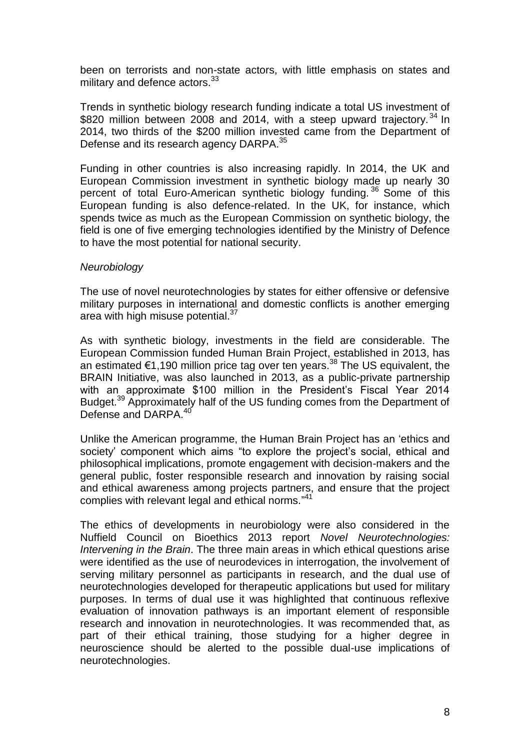been on terrorists and non-state actors, with little emphasis on states and military and defence actors.<sup>33</sup>

Trends in synthetic biology research funding indicate a total US investment of \$820 million between 2008 and 2014, with a steep upward trajectory.<sup>34</sup> In 2014, two thirds of the \$200 million invested came from the Department of Defense and its research agency DARPA.<sup>35</sup>

Funding in other countries is also increasing rapidly. In 2014, the UK and European Commission investment in synthetic biology made up nearly 30 percent of total Euro-American synthetic biology funding. <sup>36</sup> Some of this European funding is also defence-related. In the UK, for instance, which spends twice as much as the European Commission on synthetic biology, the field is one of five emerging technologies identified by the Ministry of Defence to have the most potential for national security.

#### *Neurobiology*

The use of novel neurotechnologies by states for either offensive or defensive military purposes in international and domestic conflicts is another emerging area with high misuse potential.<sup>37</sup>

As with synthetic biology, investments in the field are considerable. The European Commission funded Human Brain Project, established in 2013, has an estimated €1,190 million price tag over ten years.<sup>38</sup> The US equivalent, the BRAIN Initiative, was also launched in 2013, as a public-private partnership with an approximate \$100 million in the President's Fiscal Year 2014 Budget.<sup>39</sup> Approximately half of the US funding comes from the Department of Defense and DARPA.<sup>40</sup>

Unlike the American programme, the Human Brain Project has an 'ethics and society' component which aims "to explore the project's social, ethical and philosophical implications, promote engagement with decision-makers and the general public, foster responsible research and innovation by raising social and ethical awareness among projects partners, and ensure that the project complies with relevant legal and ethical norms." 41

The ethics of developments in neurobiology were also considered in the Nuffield Council on Bioethics 2013 report *Novel Neurotechnologies: Intervening in the Brain*. The three main areas in which ethical questions arise were identified as the use of neurodevices in interrogation, the involvement of serving military personnel as participants in research, and the dual use of neurotechnologies developed for therapeutic applications but used for military purposes. In terms of dual use it was highlighted that continuous reflexive evaluation of innovation pathways is an important element of responsible research and innovation in neurotechnologies. It was recommended that, as part of their ethical training, those studying for a higher degree in neuroscience should be alerted to the possible dual-use implications of neurotechnologies.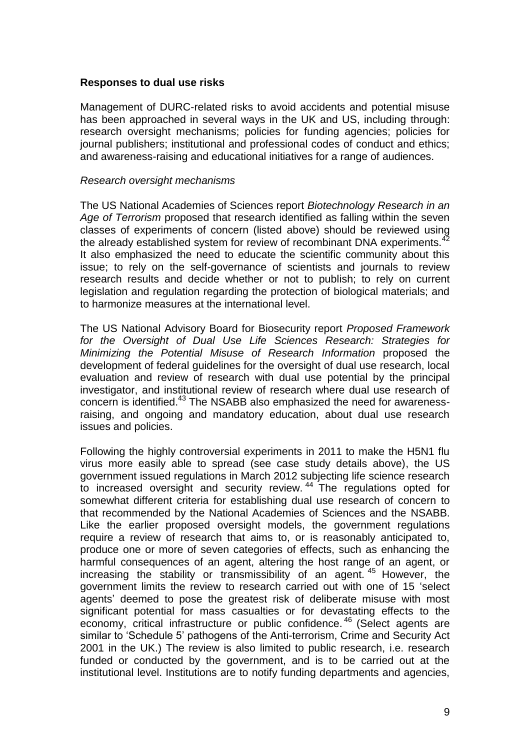#### **Responses to dual use risks**

Management of DURC-related risks to avoid accidents and potential misuse has been approached in several ways in the UK and US, including through: research oversight mechanisms; policies for funding agencies; policies for journal publishers; institutional and professional codes of conduct and ethics; and awareness-raising and educational initiatives for a range of audiences.

#### *Research oversight mechanisms*

The US National Academies of Sciences report *Biotechnology Research in an Age of Terrorism* proposed that research identified as falling within the seven classes of experiments of concern (listed above) should be reviewed using the already established system for review of recombinant DNA experiments.<sup>42</sup> It also emphasized the need to educate the scientific community about this issue; to rely on the self-governance of scientists and journals to review research results and decide whether or not to publish; to rely on current legislation and regulation regarding the protection of biological materials; and to harmonize measures at the international level.

The US National Advisory Board for Biosecurity report *Proposed Framework for the Oversight of Dual Use Life Sciences Research: Strategies for Minimizing the Potential Misuse of Research Information* proposed the development of federal guidelines for the oversight of dual use research, local evaluation and review of research with dual use potential by the principal investigator, and institutional review of research where dual use research of concern is identified.<sup>43</sup> The NSABB also emphasized the need for awarenessraising, and ongoing and mandatory education, about dual use research issues and policies.

Following the highly controversial experiments in 2011 to make the H5N1 flu virus more easily able to spread (see case study details above), the US government issued regulations in March 2012 subjecting life science research to increased oversight and security review.<sup>44</sup> The regulations opted for somewhat different criteria for establishing dual use research of concern to that recommended by the National Academies of Sciences and the NSABB. Like the earlier proposed oversight models, the government regulations require a review of research that aims to, or is reasonably anticipated to, produce one or more of seven categories of effects, such as enhancing the harmful consequences of an agent, altering the host range of an agent, or increasing the stability or transmissibility of an agent. <sup>45</sup> However, the government limits the review to research carried out with one of 15 'select agents' deemed to pose the greatest risk of deliberate misuse with most significant potential for mass casualties or for devastating effects to the economy, critical infrastructure or public confidence.<sup>46</sup> (Select agents are similar to 'Schedule 5' pathogens of the Anti-terrorism, Crime and Security Act 2001 in the UK.) The review is also limited to public research, i.e. research funded or conducted by the government, and is to be carried out at the institutional level. Institutions are to notify funding departments and agencies,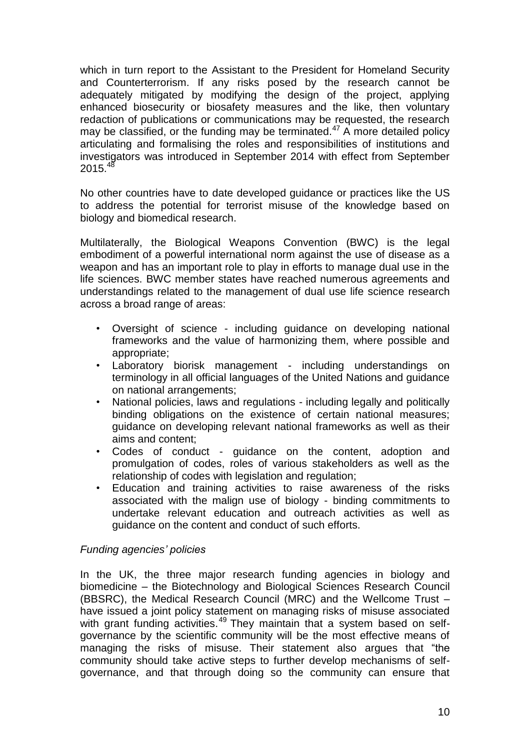which in turn report to the Assistant to the President for Homeland Security and Counterterrorism. If any risks posed by the research cannot be adequately mitigated by modifying the design of the project, applying enhanced biosecurity or biosafety measures and the like, then voluntary redaction of publications or communications may be requested, the research may be classified, or the funding may be terminated.<sup>47</sup> A more detailed policy articulating and formalising the roles and responsibilities of institutions and investigators was introduced in September 2014 with effect from September  $2015.<sup>48</sup>$ 

No other countries have to date developed guidance or practices like the US to address the potential for terrorist misuse of the knowledge based on biology and biomedical research.

Multilaterally, the Biological Weapons Convention (BWC) is the legal embodiment of a powerful international norm against the use of disease as a weapon and has an important role to play in efforts to manage dual use in the life sciences. BWC member states have reached numerous agreements and understandings related to the management of dual use life science research across a broad range of areas:

- Oversight of science including guidance on developing national frameworks and the value of harmonizing them, where possible and appropriate;
- Laboratory biorisk management including understandings on terminology in all official languages of the United Nations and guidance on national arrangements;
- National policies, laws and regulations including legally and politically binding obligations on the existence of certain national measures; guidance on developing relevant national frameworks as well as their aims and content;
- Codes of conduct guidance on the content, adoption and promulgation of codes, roles of various stakeholders as well as the relationship of codes with legislation and regulation;
- Education and training activities to raise awareness of the risks associated with the malign use of biology - binding commitments to undertake relevant education and outreach activities as well as guidance on the content and conduct of such efforts.

# *Funding agencies' policies*

In the UK, the three major research funding agencies in biology and biomedicine – the Biotechnology and Biological Sciences Research Council (BBSRC), the Medical Research Council (MRC) and the Wellcome Trust – have issued a joint policy statement on managing risks of misuse associated with grant funding activities.<sup>49</sup> They maintain that a system based on selfgovernance by the scientific community will be the most effective means of managing the risks of misuse. Their statement also argues that "the community should take active steps to further develop mechanisms of selfgovernance, and that through doing so the community can ensure that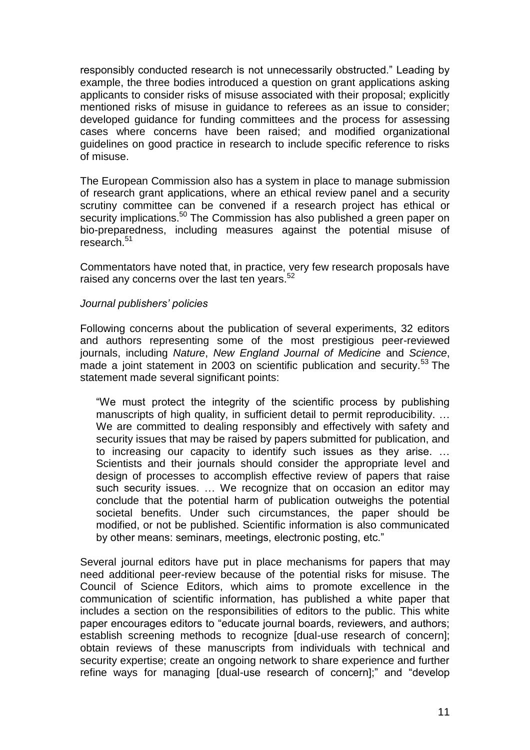responsibly conducted research is not unnecessarily obstructed." Leading by example, the three bodies introduced a question on grant applications asking applicants to consider risks of misuse associated with their proposal; explicitly mentioned risks of misuse in guidance to referees as an issue to consider; developed guidance for funding committees and the process for assessing cases where concerns have been raised; and modified organizational guidelines on good practice in research to include specific reference to risks of misuse.

The European Commission also has a system in place to manage submission of research grant applications, where an ethical review panel and a security scrutiny committee can be convened if a research project has ethical or security implications.<sup>50</sup> The Commission has also published a green paper on bio-preparedness, including measures against the potential misuse of research. 51

Commentators have noted that, in practice, very few research proposals have raised any concerns over the last ten years.<sup>52</sup>

# *Journal publishers' policies*

Following concerns about the publication of several experiments, 32 editors and authors representing some of the most prestigious peer-reviewed journals, including *Nature*, *New England Journal of Medicine* and *Science*, made a joint statement in 2003 on scientific publication and security.<sup>53</sup> The statement made several significant points:

"We must protect the integrity of the scientific process by publishing manuscripts of high quality, in sufficient detail to permit reproducibility. ... We are committed to dealing responsibly and effectively with safety and security issues that may be raised by papers submitted for publication, and to increasing our capacity to identify such issues as they arise. … Scientists and their journals should consider the appropriate level and design of processes to accomplish effective review of papers that raise such security issues. … We recognize that on occasion an editor may conclude that the potential harm of publication outweighs the potential societal benefits. Under such circumstances, the paper should be modified, or not be published. Scientific information is also communicated by other means: seminars, meetings, electronic posting, etc."

Several journal editors have put in place mechanisms for papers that may need additional peer-review because of the potential risks for misuse. The Council of Science Editors, which aims to promote excellence in the communication of scientific information, has published a white paper that includes a section on the responsibilities of editors to the public. This white paper encourages editors to "educate journal boards, reviewers, and authors; establish screening methods to recognize [dual-use research of concern]; obtain reviews of these manuscripts from individuals with technical and security expertise; create an ongoing network to share experience and further refine ways for managing [dual-use research of concern];" and "develop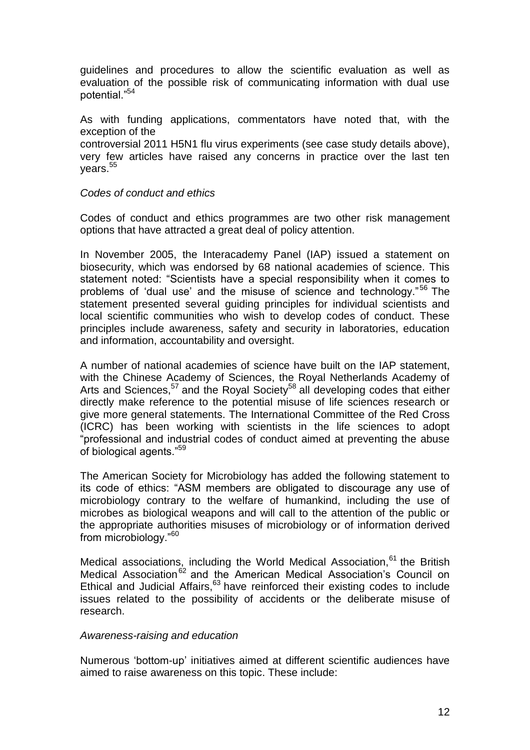guidelines and procedures to allow the scientific evaluation as well as evaluation of the possible risk of communicating information with dual use potential."<sup>54</sup>

As with funding applications, commentators have noted that, with the exception of the controversial 2011 H5N1 flu virus experiments (see case study details above), very few articles have raised any concerns in practice over the last ten years.<sup>55</sup>

# *Codes of conduct and ethics*

Codes of conduct and ethics programmes are two other risk management options that have attracted a great deal of policy attention.

In November 2005, the Interacademy Panel (IAP) issued a statement on biosecurity, which was endorsed by 68 national academies of science. This statement noted: "Scientists have a special responsibility when it comes to problems of 'dual use' and the misuse of science and technology."<sup>56</sup> The statement presented several guiding principles for individual scientists and local scientific communities who wish to develop codes of conduct. These principles include awareness, safety and security in laboratories, education and information, accountability and oversight.

A number of national academies of science have built on the IAP statement, with the Chinese Academy of Sciences, the Royal Netherlands Academy of Arts and Sciences,<sup>57</sup> and the Royal Society<sup>58</sup> all developing codes that either directly make reference to the potential misuse of life sciences research or give more general statements. The International Committee of the Red Cross (ICRC) has been working with scientists in the life sciences to adopt "professional and industrial codes of conduct aimed at preventing the abuse of biological agents."<sup>59</sup>

The American Society for Microbiology has added the following statement to its code of ethics: "ASM members are obligated to discourage any use of microbiology contrary to the welfare of humankind, including the use of microbes as biological weapons and will call to the attention of the public or the appropriate authorities misuses of microbiology or of information derived from microbiology."<sup>60</sup>

Medical associations, including the World Medical Association,<sup>61</sup> the British Medical Association<sup>62</sup> and the American Medical Association's Council on Ethical and Judicial Affairs,<sup>63</sup> have reinforced their existing codes to include issues related to the possibility of accidents or the deliberate misuse of research.

# *Awareness-raising and education*

Numerous 'bottom-up' initiatives aimed at different scientific audiences have aimed to raise awareness on this topic. These include: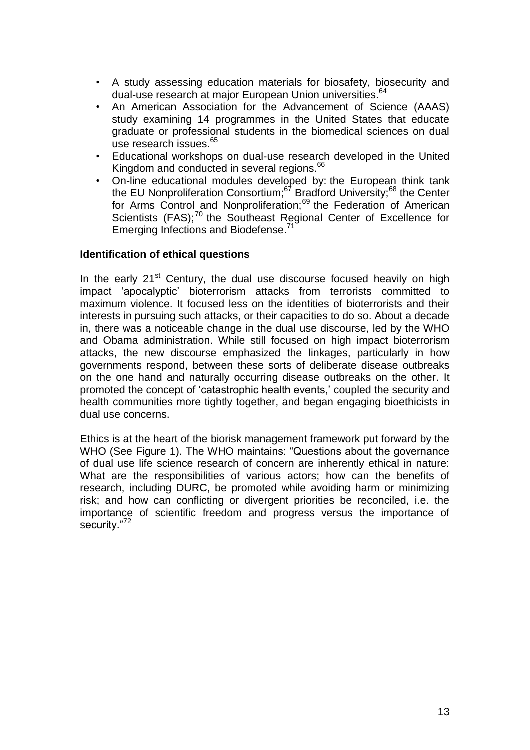- A study assessing education materials for biosafety, biosecurity and dual-use research at major European Union universities. 64
- An American Association for the Advancement of Science (AAAS) study examining 14 programmes in the United States that educate graduate or professional students in the biomedical sciences on dual use research issues.<sup>65</sup>
- Educational workshops on dual-use research developed in the United Kingdom and conducted in several regions.<sup>66</sup>
- On-line educational modules developed by: the European think tank the EU Nonproliferation Consortium;<sup>67</sup> Bradford University;<sup>68</sup> the Center for Arms Control and Nonproliferation;<sup>69</sup> the Federation of American Scientists (FAS);<sup>70</sup> the Southeast Regional Center of Excellence for Emerging Infections and Biodefense.<sup>71</sup>

# **Identification of ethical questions**

In the early  $21<sup>st</sup>$  Century, the dual use discourse focused heavily on high impact 'apocalyptic' bioterrorism attacks from terrorists committed to maximum violence. It focused less on the identities of bioterrorists and their interests in pursuing such attacks, or their capacities to do so. About a decade in, there was a noticeable change in the dual use discourse, led by the WHO and Obama administration. While still focused on high impact bioterrorism attacks, the new discourse emphasized the linkages, particularly in how governments respond, between these sorts of deliberate disease outbreaks on the one hand and naturally occurring disease outbreaks on the other. It promoted the concept of 'catastrophic health events,' coupled the security and health communities more tightly together, and began engaging bioethicists in dual use concerns.

Ethics is at the heart of the biorisk management framework put forward by the WHO (See Figure 1). The WHO maintains: "Questions about the governance of dual use life science research of concern are inherently ethical in nature: What are the responsibilities of various actors; how can the benefits of research, including DURC, be promoted while avoiding harm or minimizing risk; and how can conflicting or divergent priorities be reconciled, i.e. the importance of scientific freedom and progress versus the importance of security."<sup>72</sup>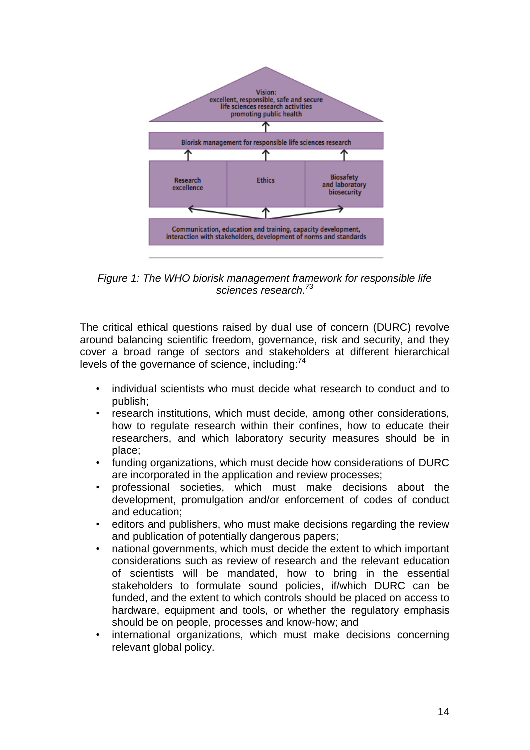

*Figure 1: The WHO biorisk management framework for responsible life sciences research. 73*

The critical ethical questions raised by dual use of concern (DURC) revolve around balancing scientific freedom, governance, risk and security, and they cover a broad range of sectors and stakeholders at different hierarchical levels of the governance of science, including:<sup>74</sup>

- individual scientists who must decide what research to conduct and to publish;
- research institutions, which must decide, among other considerations, how to regulate research within their confines, how to educate their researchers, and which laboratory security measures should be in place;
- funding organizations, which must decide how considerations of DURC are incorporated in the application and review processes;
- professional societies, which must make decisions about the development, promulgation and/or enforcement of codes of conduct and education;
- editors and publishers, who must make decisions regarding the review and publication of potentially dangerous papers;
- national governments, which must decide the extent to which important considerations such as review of research and the relevant education of scientists will be mandated, how to bring in the essential stakeholders to formulate sound policies, if/which DURC can be funded, and the extent to which controls should be placed on access to hardware, equipment and tools, or whether the regulatory emphasis should be on people, processes and know-how; and
- international organizations, which must make decisions concerning relevant global policy.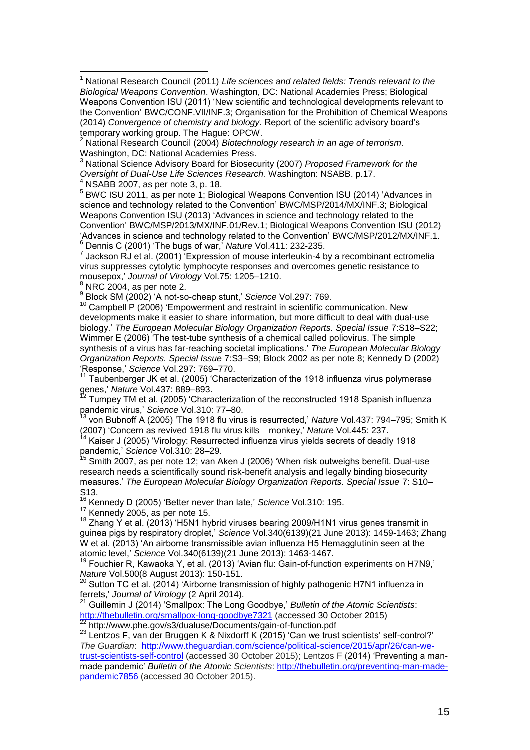<sup>2</sup> National Research Council (2004) *Biotechnology research in an age of terrorism*. Washington, DC: National Academies Press.

<sup>3</sup> National Science Advisory Board for Biosecurity (2007) *Proposed Framework for the Oversight of Dual-Use Life Sciences Research.* Washington: NSABB. p.17.

 $^{4}$  NSABB 2007, as per note 3, p. 18.

 $\overline{\phantom{a}}$ 

5 BWC ISU 2011, as per note 1; Biological Weapons Convention ISU (2014) 'Advances in science and technology related to the Convention' BWC/MSP/2014/MX/INF.3; Biological Weapons Convention ISU (2013) 'Advances in science and technology related to the Convention' BWC/MSP/2013/MX/INF.01/Rev.1; Biological Weapons Convention ISU (2012) 'Advances in science and technology related to the Convention' BWC/MSP/2012/MX/INF.1. <sup>6</sup> Dennis C (2001) 'The bugs of war,' *Nature* Vol.411: 232-235.

 $<sup>7</sup>$  Jackson RJ et al. (2001) Expression of mouse interleukin-4 by a recombinant ectromelia</sup> virus suppresses cytolytic lymphocyte responses and overcomes genetic resistance to mousepox,' *Journal of Virology* Vol.75: 1205–1210.

 $8$  NRC 2004, as per note 2.

9 Block SM (2002) 'A not-so-cheap stunt,' *Science* Vol.297: 769.

 $10$  Campbell P (2006) 'Empowerment and restraint in scientific communication. New developments make it easier to share information, but more difficult to deal with dual-use biology.' *The European Molecular Biology Organization Reports. Special Issue* 7:S18–S22; Wimmer E (2006) 'The test-tube synthesis of a chemical called poliovirus. The simple synthesis of a virus has far-reaching societal implications.' *The European Molecular Biology Organization Reports. Special Issue* 7:S3–S9; Block 2002 as per note 8; Kennedy D (2002) 'Response,' *Science* Vol.297: 769–770.

 $11$  Taubenberger JK et al. (2005) 'Characterization of the 1918 influenza virus polymerase genes,' *Nature* Vol.437: 889–893.

 $12$  Tumpey TM et al. (2005) 'Characterization of the reconstructed 1918 Spanish influenza pandemic virus,' *Science* Vol.310: 77–80.

<sup>13</sup> von Bubnoff A (2005) 'The 1918 flu virus is resurrected,' *Nature* Vol.437: 794–795; Smith K (2007) 'Concern as revived 1918 flu virus kills monkey,' *Nature* Vol.445: 237.

Kaiser J (2005) 'Virology: Resurrected influenza virus yields secrets of deadly 1918 pandemic,' *Science* Vol.310: 28–29.

Smith 2007, as per note 12; van Aken J (2006) 'When risk outweighs benefit. Dual-use research needs a scientifically sound risk-benefit analysis and legally binding biosecurity measures.' *The European Molecular Biology Organization Reports. Special Issue* 7: S10– S13.

<sup>16</sup> Kennedy D (2005) 'Better never than late,' *Science* Vol.310: 195.

<sup>17</sup> Kennedy 2005, as per note 15.

<sup>18</sup> Zhang Y et al. (2013) 'H5N1 hybrid viruses bearing 2009/H1N1 virus genes transmit in guinea pigs by respiratory droplet,' *Science* Vol.340(6139)(21 June 2013): 1459-1463; Zhang W et al. (2013) 'An airborne transmissible avian influenza H5 Hemagglutinin seen at the atomic level,' *Science* Vol.340(6139)(21 June 2013): 1463-1467.

 $19$  Fouchier R, Kawaoka Y, et al. (2013) 'Avian flu: Gain-of-function experiments on H7N9,' *Nature* Vol.500(8 August 2013): 150-151.

 $^{20}$  Sutton TC et al. (2014) 'Airborne transmission of highly pathogenic H7N1 influenza in ferrets,' *Journal of Virology* (2 April 2014).

<sup>21</sup> Guillemin J (2014) 'Smallpox: The Long Goodbye,' *Bulletin of the Atomic Scientists*: <http://thebulletin.org/smallpox-long-goodbye7321> (accessed 30 October 2015) <sup>22</sup> http://www.phe.gov/s3/dualuse/Documents/gain-of-function.pdf

<sup>23</sup> Lentzos F, van der Bruggen K & Nixdorff K (2015) 'Can we trust scientists' self-control?' *The Guardian*: [http://www.theguardian.com/science/political-science/2015/apr/26/can-we](http://www.theguardian.com/science/political-science/2015/apr/26/can-we-trust-scientists-self-control)[trust-scientists-self-control](http://www.theguardian.com/science/political-science/2015/apr/26/can-we-trust-scientists-self-control) (accessed 30 October 2015); Lentzos F (2014) 'Preventing a manmade pandemic' *Bulletin of the Atomic Scientists*: [http://thebulletin.org/preventing-man-made](http://thebulletin.org/preventing-man-made-pandemic7856)[pandemic7856](http://thebulletin.org/preventing-man-made-pandemic7856) (accessed 30 October 2015).

<sup>&</sup>lt;sup>1</sup> National Research Council (2011) Life sciences and related fields: Trends relevant to the *Biological Weapons Convention*. Washington, DC: National Academies Press; Biological Weapons Convention ISU (2011) 'New scientific and technological developments relevant to the Convention' BWC/CONF.VII/INF.3; Organisation for the Prohibition of Chemical Weapons (2014) *Convergence of chemistry and biology.* Report of the scientific advisory board's temporary working group. The Hague: OPCW.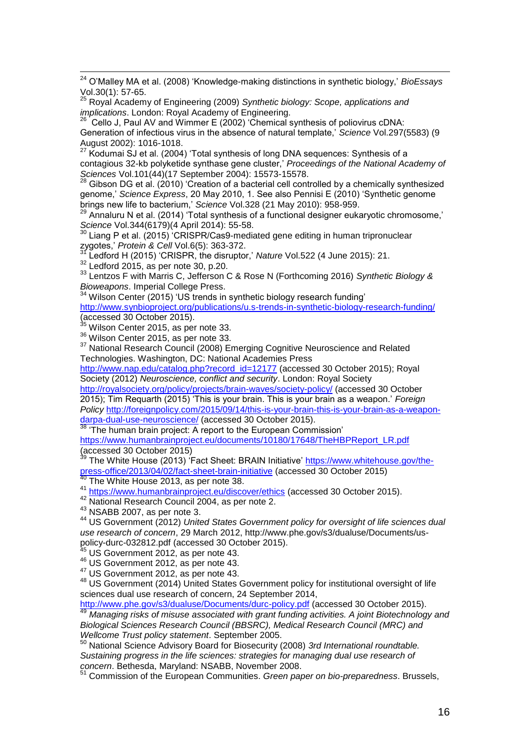$\overline{a}$ <sup>24</sup> O'Malley MA et al. (2008) 'Knowledge-making distinctions in synthetic biology,' *BioEssays* Vol.30(1): 57-65.

<sup>25</sup> Royal Academy of Engineering (2009) *Synthetic biology: Scope, applications and implications*. London: Royal Academy of Engineering.

 $26$  Cello J, Paul AV and Wimmer E (2002) 'Chemical synthesis of poliovirus cDNA: Generation of infectious virus in the absence of natural template,' *Science* Vol.297(5583) (9 August 2002): 1016-1018.

<sup>27</sup> Kodumai SJ et al. (2004) 'Total synthesis of long DNA sequences: Synthesis of a contagious 32-kb polyketide synthase gene cluster,' *Proceedings of the National Academy of Sciences* Vol.101(44)(17 September 2004): 15573-15578.

<sup>28</sup> Gibson DG et al. (2010) 'Creation of a bacterial cell controlled by a chemically synthesized genome,' *Science Express*, 20 May 2010, 1. See also Pennisi E (2010) 'Synthetic genome brings new life to bacterium,' *Science* Vol.328 (21 May 2010): 958-959.

<sup>29</sup> Annaluru N et al. (2014) 'Total synthesis of a functional designer eukaryotic chromosome,' *Science* Vol.344(6179)(4 April 2014): 55-58.

 $30$  Liang P et al. (2015) 'CRISPR/Cas9-mediated gene editing in human tripronuclear zygotes,' *Protein & Cell* Vol.6(5): 363-372.

Ledford H (2015) 'CRISPR, the disruptor,' *Nature* Vol.522 (4 June 2015): 21.

 $32$  Ledford 2015, as per note 30, p.20.

<sup>33</sup> Lentzos F with Marris C, Jefferson C & Rose N (Forthcoming 2016) *Synthetic Biology & Bioweapons*. Imperial College Press.

 $34$  Wilson Center (2015) 'US trends in synthetic biology research funding'

<http://www.synbioproject.org/publications/u.s-trends-in-synthetic-biology-research-funding/> (accessed 30 October 2015).

 $35$  Wilson Center 2015, as per note 33.

<sup>36</sup> Wilson Center 2015, as per note 33.

<sup>37</sup> National Research Council (2008) Emerging Cognitive Neuroscience and Related Technologies. Washington, DC: National Academies Press

[http://www.nap.edu/catalog.php?record\\_id=12177](http://www.nap.edu/catalog.php?record_id=12177) (accessed 30 October 2015); Royal Society (2012) *Neuroscience, conflict and security*. London: Royal Society

<http://royalsociety.org/policy/projects/brain-waves/society-policy/> (accessed 30 October 2015); Tim Requarth (2015) 'This is your brain. This is your brain as a weapon.' *Foreign Policy* [http://foreignpolicy.com/2015/09/14/this-is-your-brain-this-is-your-brain-as-a-weapon](http://foreignpolicy.com/2015/09/14/this-is-your-brain-this-is-your-brain-as-a-weapon-darpa-dual-use-neuroscience/)[darpa-dual-use-neuroscience/](http://foreignpolicy.com/2015/09/14/this-is-your-brain-this-is-your-brain-as-a-weapon-darpa-dual-use-neuroscience/) (accessed 30 October 2015).

<sup>38</sup> 'The human brain project: A report to the European Commission' [https://www.humanbrainproject.eu/documents/10180/17648/TheHBPReport\\_LR.pdf](https://www.humanbrainproject.eu/documents/10180/17648/TheHBPReport_LR.pdf) (accessed 30 October 2015)

The White House (2013) 'Fact Sheet: BRAIN Initiative' [https://www.whitehouse.gov/the](https://www.whitehouse.gov/the-press-office/2013/04/02/fact-sheet-brain-initiative)[press-office/2013/04/02/fact-sheet-brain-initiative](https://www.whitehouse.gov/the-press-office/2013/04/02/fact-sheet-brain-initiative) (accessed 30 October 2015)

The White House 2013, as per note 38.

41 <https://www.humanbrainproject.eu/discover/ethics> (accessed 30 October 2015).

<sup>42</sup> National Research Council 2004, as per note 2.

 $43$  NSABB 2007, as per note 3.

<sup>44</sup> US Government (2012) *United States Government policy for oversight of life sciences dual use research of concern*, 29 March 2012, [http://www.phe.gov/s3/dualuse/Documents/us](http://www.phe.gov/s3/dualuse/Documents/us-policy-durc-032812.pdf)[policy-durc-032812.pdf](http://www.phe.gov/s3/dualuse/Documents/us-policy-durc-032812.pdf) (accessed 30 October 2015).

US Government 2012, as per note 43.

<sup>46</sup> US Government 2012, as per note 43.

<sup>47</sup> US Government 2012, as per note 43.

<sup>48</sup> US Government (2014) United States Government policy for institutional oversight of life sciences dual use research of concern, 24 September 2014,

<http://www.phe.gov/s3/dualuse/Documents/durc-policy.pdf> (accessed 30 October 2015). <sup>49</sup> *Managing risks of misuse associated with grant funding activities. A joint Biotechnology and* 

*Biological Sciences Research Council (BBSRC), Medical Research Council (MRC) and Wellcome Trust policy statement*. September 2005.

<sup>50</sup> National Science Advisory Board for Biosecurity (2008) *3rd International roundtable. Sustaining progress in the life sciences: strategies for managing dual use research of concern*. Bethesda, Maryland: NSABB, November 2008.

<sup>51</sup> Commission of the European Communities. *Green paper on bio-preparedness*. Brussels,